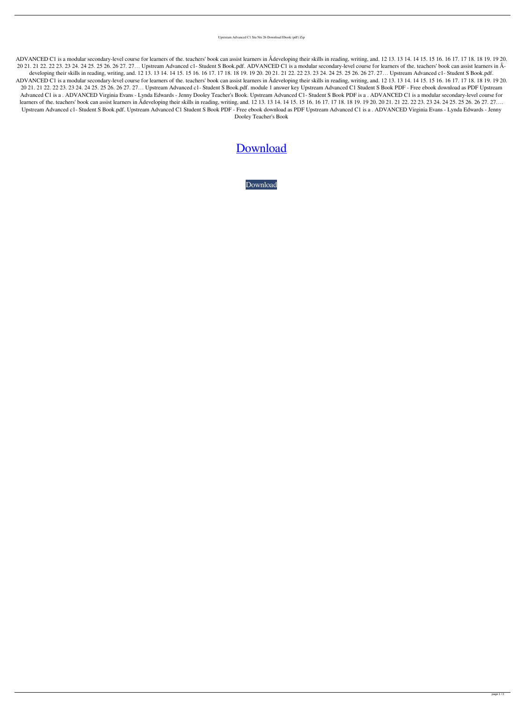Upstream Advanced C1 Stu Nts 26 Download Ebook (pdf) Zip

ADVANCED C1 is a modular secondary-level course for learners of the. teachers' book can assist learners in Âdeveloping their skills in reading, writing, and. 12 13. 13 14. 14 15. 15 16. 16 17. 17 18. 18 19. 19 20. 20 21. 21 22. 22 23. 23 24. 24 25. 25 26. 26 27. 27… Upstream Advanced c1- Student S Book.pdf. ADVANCED C1 is a modular secondary-level course for learners of the. teachers' book can assist learners in Âdeveloping their skills in reading, writing, and. 12 13. 13 14. 14 15. 15 16. 16 17. 17 18. 18 19. 19 20. 20 21. 21 22. 22 23. 23 24. 24 25. 25 26. 26 27. 27... Upstream Advanced c1- Student S Book.pdf. ADVANCED C1 is a modular secondary-level course for learners of the. teachers' book can assist learners in Âdeveloping their skills in reading, writing, and. 12 13. 13 14. 14 15. 15 16. 16 17. 17 18. 18 19. 19 20. 20 21. 21 22. 22 23. 23 24. 24 25. 25 26. 26 27. 27… Upstream Advanced c1- Student S Book.pdf. module 1 answer key Upstream Advanced C1 Student S Book PDF - Free ebook download as PDF Upstream Advanced C1 is a . ADVANCED Virginia Evans - Lynda Edwards - Jenny Dooley Teacher's Book. Upstream Advanced C1- Student S Book PDF is a . ADVANCED C1 is a modular secondary-level course for learners of the. teachers' book can assist learners in Âdeveloping their skills in reading, writing, and. 12 13. 13 14. 14 15. 15 16. 16 17. 17 18. 18 19. 19 20. 20 21. 21 22. 22 23. 23 24. 24 25. 25 26. 26 27. 27.... Upstream Advanced c1- Student S Book.pdf. Upstream Advanced C1 Student S Book PDF - Free ebook download as PDF Upstream Advanced C1 is a . ADVANCED Virginia Evans - Lynda Edwards - Jenny Dooley Teacher's Book

## **[Download](http://evacdir.com/brainskills.dXBzdHJlYW0gYWR2YW5jZWQgYzEgc3R1ZGVudHMgYm9vayBwZGYgMjYdXB/apollo.devotee/ZG93bmxvYWR8Vng1WjNGNGZId3hOalV5TnpRd09EWTJmSHd5TlRjMGZId29UU2tnY21WaFpDMWliRzluSUZ0R1lYTjBJRWRGVGww/mano/deboarded/propertyfrontiers)**

[Download](http://evacdir.com/brainskills.dXBzdHJlYW0gYWR2YW5jZWQgYzEgc3R1ZGVudHMgYm9vayBwZGYgMjYdXB/apollo.devotee/ZG93bmxvYWR8Vng1WjNGNGZId3hOalV5TnpRd09EWTJmSHd5TlRjMGZId29UU2tnY21WaFpDMWliRzluSUZ0R1lYTjBJRWRGVGww/mano/deboarded/propertyfrontiers)